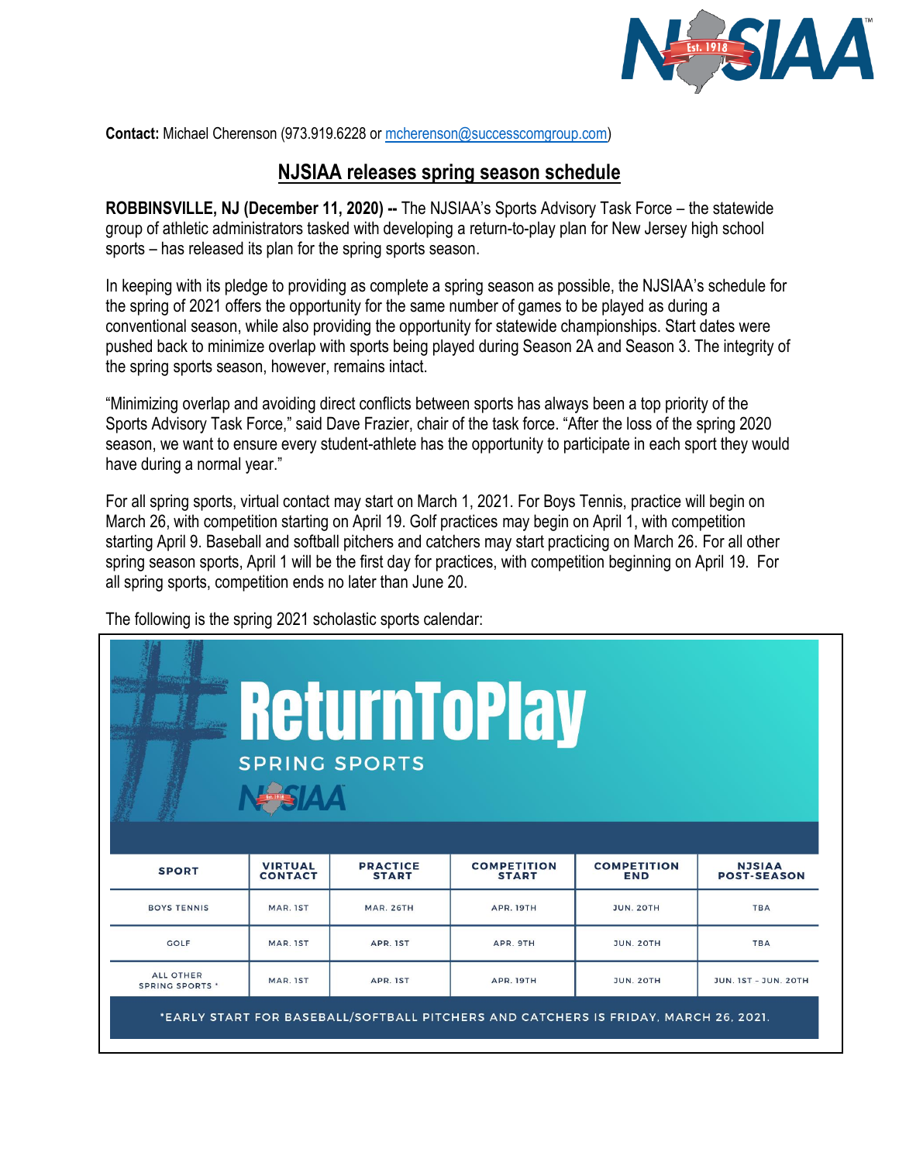

**Contact:** Michael Cherenson (973.919.6228 o[r mcherenson@successcomgroup.com\)](mailto:mcherenson@successcomgroup.com)

## **NJSIAA releases spring season schedule**

**ROBBINSVILLE, NJ (December 11, 2020) --** The NJSIAA's Sports Advisory Task Force – the statewide group of athletic administrators tasked with developing a return-to-play plan for New Jersey high school sports – has released its plan for the spring sports season.

In keeping with its pledge to providing as complete a spring season as possible, the NJSIAA's schedule for the spring of 2021 offers the opportunity for the same number of games to be played as during a conventional season, while also providing the opportunity for statewide championships. Start dates were pushed back to minimize overlap with sports being played during Season 2A and Season 3. The integrity of the spring sports season, however, remains intact.

"Minimizing overlap and avoiding direct conflicts between sports has always been a top priority of the Sports Advisory Task Force," said Dave Frazier, chair of the task force. "After the loss of the spring 2020 season, we want to ensure every student-athlete has the opportunity to participate in each sport they would have during a normal year."

For all spring sports, virtual contact may start on March 1, 2021. For Boys Tennis, practice will begin on March 26, with competition starting on April 19. Golf practices may begin on April 1, with competition starting April 9. Baseball and softball pitchers and catchers may start practicing on March 26. For all other spring season sports, April 1 will be the first day for practices, with competition beginning on April 19. For all spring sports, competition ends no later than June 20.

| ReturnToPlay<br><b>SPRING SPORTS</b>                                                |                                  |                                 |                                    |                                  |                                     |
|-------------------------------------------------------------------------------------|----------------------------------|---------------------------------|------------------------------------|----------------------------------|-------------------------------------|
| <b>SPORT</b>                                                                        | <b>VIRTUAL</b><br><b>CONTACT</b> | <b>PRACTICE</b><br><b>START</b> | <b>COMPETITION</b><br><b>START</b> | <b>COMPETITION</b><br><b>END</b> | <b>NJSIAA</b><br><b>POST-SEASON</b> |
| <b>BOYS TENNIS</b>                                                                  | MAR. IST                         | <b>MAR. 26TH</b>                | <b>APR. 19TH</b>                   | <b>JUN. 20TH</b>                 | <b>TBA</b>                          |
| <b>GOLF</b>                                                                         | MAR. IST                         | APR. IST                        | APR. 9TH                           | <b>JUN. 20TH</b>                 | <b>TBA</b>                          |
| <b>ALL OTHER</b><br><b>SPRING SPORTS *</b>                                          | MAR. IST                         | APR. IST                        | <b>APR. 19TH</b>                   | <b>JUN. 20TH</b>                 | <b>JUN. 1ST - JUN. 20TH</b>         |
| *EARLY START FOR BASEBALL/SOFTBALL PITCHERS AND CATCHERS IS FRIDAY, MARCH 26, 2021. |                                  |                                 |                                    |                                  |                                     |

The following is the spring 2021 scholastic sports calendar: